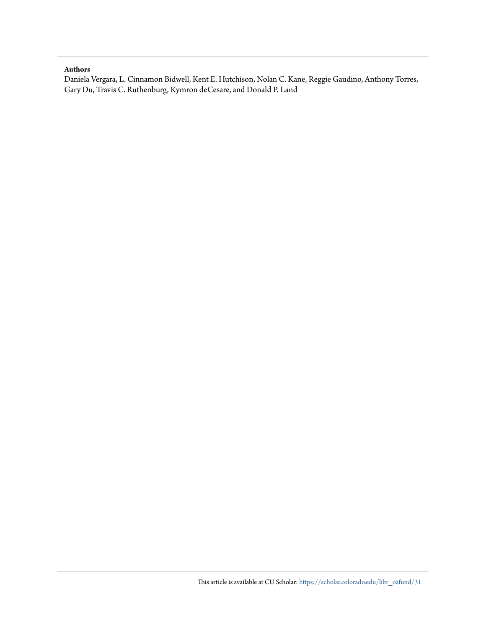### **Authors**

Daniela Vergara, L. Cinnamon Bidwell, Kent E. Hutchison, Nolan C. Kane, Reggie Gaudino, Anthony Torres, Gary Du, Travis C. Ruthenburg, Kymron deCesare, and Donald P. Land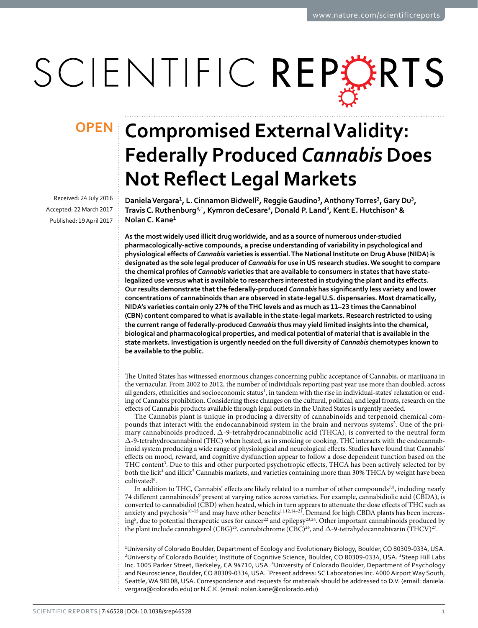# SCIENTIFIC REPERTS

Received: 24 July 2016 accepted: 22 March 2017 Published: 19 April 2017

## **Compromised External Validity: OPENFederally Produced** *Cannabis* **Does Not Reflect Legal Markets**

**DanielaVergara1, L. Cinnamon Bidwell2, ReggieGaudino<sup>3</sup>, AnthonyTorres<sup>3</sup>, Gary Du<sup>3</sup>, TravisC. Ruthenburg3,† , Kymron deCesare3, Donald P. Land3, Kent E. Hutchison<sup>4</sup> & NolanC. Kane<sup>1</sup>**

**As the most widely used illicit drug worldwide, and as a source of numerous under-studied pharmacologically-active compounds, a precise understanding of variability in psychological and physiological effects of** *Cannabis* **varieties is essential. The National Institute on Drug Abuse (NIDA) is designated as the sole legal producer of** *Cannabis* **for use in US research studies. We sought to compare the chemical profiles of** *Cannabis* **varieties that are available to consumers in states that have statelegalized use versus what is available to researchers interested in studying the plant and its effects. Our results demonstrate that the federally-produced** *Cannabis* **has significantly less variety and lower concentrations of cannabinoids than are observed in state-legal U.S. dispensaries. Most dramatically, NIDA's varieties contain only 27% of the THC levels and as much as 11–23 times the Cannabinol (CBN) content compared to what is available in the state-legal markets. Research restricted to using the current range of federally-produced** *Cannabis* **thus may yield limited insights into the chemical, biological and pharmacological properties, and medical potential of material that is available in the state markets. Investigation is urgently needed on the full diversity of** *Cannabis* **chemotypes known to be available to the public.**

The United States has witnessed enormous changes concerning public acceptance of Cannabis, or marijuana in the vernacular. From 2002 to 2012, the number of individuals reporting past year use more than doubled, across all genders, ethnicities and socioeconomic status<sup>1</sup>, in tandem with the rise in individual-states' relaxation or ending of Cannabis prohibition. Considering these changes on the cultural, political, and legal fronts, research on the effects of Cannabis products available through legal outlets in the United States is urgently needed.

The Cannabis plant is unique in producing a diversity of cannabinoids and terpenoid chemical compounds that interact with the endocannabinoid system in the brain and nervous systems<sup>2</sup>. One of the primary cannabinoids produced,  $\Delta$ -9-tetrahydrocannabinolic acid (THCA), is converted to the neutral form Δ-9-tetrahydrocannabinol (THC) when heated, as in smoking or cooking. THC interacts with the endocannabinoid system producing a wide range of physiological and neurological effects. Studies have found that Cannabis' effects on mood, reward, and cognitive dysfunction appear to follow a dose dependent function based on the THC content<sup>3</sup>. Due to this and other purported psychotropic effects, THCA has been actively selected for by both the licit<sup>4</sup> and illicit<sup>5</sup> Cannabis markets, and varieties containing more than 30% THCA by weight have been cultivated<sup>6</sup>.

In addition to THC, Cannabis' effects are likely related to a number of other compounds<sup>7,8</sup>, including nearly 74 different cannabinoids<sup>9</sup> present at varying ratios across varieties. For example, cannabidiolic acid (CBDA), is converted to cannabidiol (CBD) when heated, which in turn appears to attenuate the dose effects of THC such as anxiety and psychosis<sup>10–15</sup> and may have other benefits<sup>11,12,14–21</sup>. Demand for high CBDA plants has been increasing<sup>5</sup>, due to potential therapeutic uses for cancer<sup>22</sup> and epilepsy<sup>23,24</sup>. Other important cannabinoids produced by the plant include cannabigerol (CBG)<sup>25</sup>, cannabichrome (CBC)<sup>26</sup>, and  $\Delta$ -9-tetrahydocannabivarin (THCV)<sup>27</sup>.

<sup>1</sup>University of Colorado Boulder, Department of Ecology and Evolutionary Biology, Boulder, CO 80309-0334, USA. <sup>2</sup>University of Colorado Boulder, Institute of Cognitive Science, Boulder, CO 80309-0334, USA. <sup>3</sup>Steep Hill Labs Inc. 1005 Parker Street, Berkeley, CA 94710, USA. <sup>4</sup>University of Colorado Boulder, Department of Psychology and Neuroscience, Boulder, CO 80309-0334, USA. † Present address: SC Laboratories Inc. 4000 Airport Way South, Seattle, WA 98108, USA. Correspondence and requests for materials should be addressed to D.V. (email: [daniela.](mailto:daniela.vergara@colorado.edu) [vergara@colorado.edu](mailto:daniela.vergara@colorado.edu)) or N.C.K. (email: [nolan.kane@colorado.edu\)](mailto:nolan.kane@colorado.edu)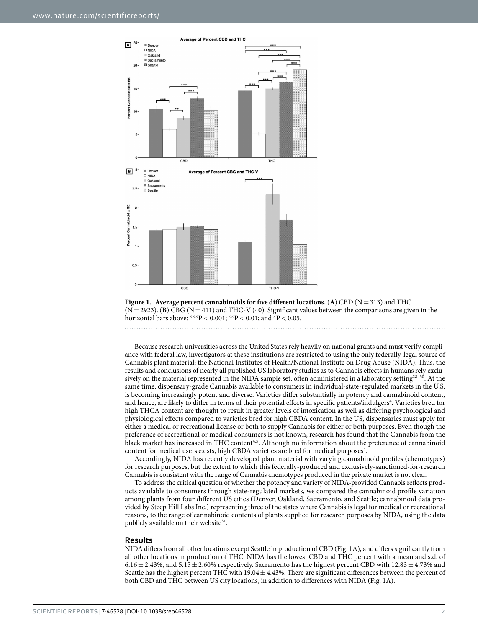

**Figure 1. Average percent cannabinoids for five different locations.** (**A**) CBD (N=313) and THC  $(N=2923)$ . **(B)** CBG (N = 411) and THC-V (40). Significant values between the comparisons are given in the horizontal bars above: \*\*\*P < 0.001; \*\*P < 0.01; and \*P < 0.05.

Because research universities across the United States rely heavily on national grants and must verify compliance with federal law, investigators at these institutions are restricted to using the only federally-legal source of Cannabis plant material: the National Institutes of Health/National Institute on Drug Abuse (NIDA). Thus, the results and conclusions of nearly all published US laboratory studies as to Cannabis effects in humans rely exclusively on the material represented in the NIDA sample set, often administered in a laboratory setting<sup>28–30</sup>. At the same time, dispensary-grade Cannabis available to consumers in individual-state-regulated markets in the U.S. is becoming increasingly potent and diverse. Varieties differ substantially in potency and cannabinoid content, and hence, are likely to differ in terms of their potential effects in specific patients/indulgers<sup>4</sup>. Varieties bred for high THCA content are thought to result in greater levels of intoxication as well as differing psychological and physiological effects compared to varieties bred for high CBDA content. In the US, dispensaries must apply for either a medical or recreational license or both to supply Cannabis for either or both purposes. Even though the preference of recreational or medical consumers is not known, research has found that the Cannabis from the black market has increased in THC content<sup>4,5</sup>. Although no information about the preference of cannabinoid

content for medical users exists, high CBDA varieties are bred for medical purposes<sup>5</sup>. Accordingly, NIDA has recently developed plant material with varying cannabinoid profiles (chemotypes) for research purposes, but the extent to which this federally-produced and exclusively-sanctioned-for-research Cannabis is consistent with the range of Cannabis chemotypes produced in the private market is not clear.

To address the critical question of whether the potency and variety of NIDA-provided Cannabis reflects products available to consumers through state-regulated markets, we compared the cannabinoid profile variation among plants from four different US cities (Denver, Oakland, Sacramento, and Seattle; cannabinoid data provided by Steep Hill Labs Inc.) representing three of the states where Cannabis is legal for medical or recreational reasons, to the range of cannabinoid contents of plants supplied for research purposes by NIDA, using the data publicly available on their website<sup>31</sup>.

#### **Results**

NIDA differs from all other locations except Seattle in production of CBD (Fig. 1A), and differs significantly from all other locations in production of THC. NIDA has the lowest CBD and THC percent with a mean and s.d. of 6.16  $\pm$  2.43%, and 5.15  $\pm$  2.60% respectively. Sacramento has the highest percent CBD with 12.83  $\pm$  4.73% and Seattle has the highest percent THC with  $19.04 \pm 4.43$ %. There are significant differences between the percent of both CBD and THC between US city locations, in addition to differences with NIDA (Fig. 1A).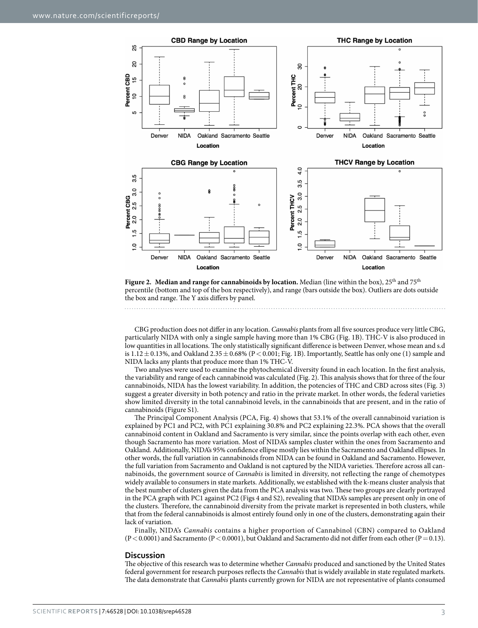

**Figure 2.** Median and range for cannabinoids by location. Median (line within the box), 25<sup>th</sup> and 75<sup>th</sup> percentile (bottom and top of the box respectively), and range (bars outside the box). Outliers are dots outside the box and range. The Y axis differs by panel.

CBG production does not differ in any location. *Cannabis* plants from all five sources produce very little CBG, particularly NIDA with only a single sample having more than 1% CBG (Fig. 1B). THC-V is also produced in low quantities in all locations. The only statistically significant difference is between Denver, whose mean and s.d is  $1.12 \pm 0.13$ %, and Oakland  $2.35 \pm 0.68$ % (P < 0.001; Fig. 1B). Importantly, Seattle has only one (1) sample and NIDA lacks any plants that produce more than 1% THC-V.

Two analyses were used to examine the phytochemical diversity found in each location. In the first analysis, the variability and range of each cannabinoid was calculated (Fig. 2). This analysis shows that for three of the four cannabinoids, NIDA has the lowest variability. In addition, the potencies of THC and CBD across sites (Fig. 3) suggest a greater diversity in both potency and ratio in the private market. In other words, the federal varieties show limited diversity in the total cannabinoid levels, in the cannabinoids that are present, and in the ratio of cannabinoids (Figure S1).

The Principal Component Analysis (PCA, Fig. 4) shows that 53.1% of the overall cannabinoid variation is explained by PC1 and PC2, with PC1 explaining 30.8% and PC2 explaining 22.3%. PCA shows that the overall cannabinoid content in Oakland and Sacramento is very similar, since the points overlap with each other, even though Sacramento has more variation. Most of NIDA's samples cluster within the ones from Sacramento and Oakland. Additionally, NIDA's 95% confidence ellipse mostly lies within the Sacramento and Oakland ellipses. In other words, the full variation in cannabinoids from NIDA can be found in Oakland and Sacramento. However, the full variation from Sacramento and Oakland is not captured by the NIDA varieties. Therefore across all cannabinoids, the government source of *Cannabis* is limited in diversity, not reflecting the range of chemotypes widely available to consumers in state markets. Additionally, we established with the k-means cluster analysis that the best number of clusters given the data from the PCA analysis was two. These two groups are clearly portrayed in the PCA graph with PC1 against PC2 (Figs 4 and S2), revealing that NIDA's samples are present only in one of the clusters. Therefore, the cannabinoid diversity from the private market is represented in both clusters, while that from the federal cannabinoids is almost entirely found only in one of the clusters, demonstrating again their lack of variation.

Finally, NIDA's *Cannabis* contains a higher proportion of Cannabinol (CBN) compared to Oakland  $(P < 0.0001)$  and Sacramento  $(P < 0.0001)$ , but Oakland and Sacramento did not differ from each other  $(P = 0.13)$ .

#### **Discussion**

The objective of this research was to determine whether *Cannabis* produced and sanctioned by the United States federal government for research purposes reflects the *Cannabis* that is widely available in state regulated markets. The data demonstrate that *Cannabis* plants currently grown for NIDA are not representative of plants consumed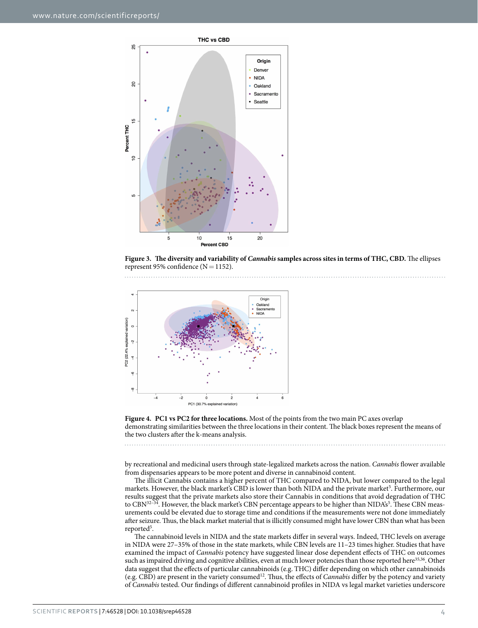

**Figure 3. The diversity and variability of** *Cannabis* **samples across sites in terms of THC, CBD.** The ellipses represent 95% confidence ( $N=1152$ ).





by recreational and medicinal users through state-legalized markets across the nation. *Cannabis* flower available from dispensaries appears to be more potent and diverse in cannabinoid content.

The illicit Cannabis contains a higher percent of THC compared to NIDA, but lower compared to the legal markets. However, the black market's CBD is lower than both NIDA and the private market<sup>5</sup>. Furthermore, our results suggest that the private markets also store their Cannabis in conditions that avoid degradation of THC to CBN $^{32-34}$ . However, the black market's CBN percentage appears to be higher than NIDA's $^5$ . These CBN measurements could be elevated due to storage time and conditions if the measurements were not done immediately after seizure. Thus, the black market material that is illicitly consumed might have lower CBN than what has been reported<sup>5</sup>.

The cannabinoid levels in NIDA and the state markets differ in several ways. Indeed, THC levels on average in NIDA were 27–35% of those in the state markets, while CBN levels are 11–23 times higher. Studies that have examined the impact of *Cannabis* potency have suggested linear dose dependent effects of THC on outcomes such as impaired driving and cognitive abilities, even at much lower potencies than those reported here<sup>35,36</sup>. Other data suggest that the effects of particular cannabinoids (e.g. THC) differ depending on which other cannabinoids (e.g. CBD) are present in the variety consumed12. Thus, the effects of *Cannabis* differ by the potency and variety of *Cannabis* tested. Our findings of different cannabinoid profiles in NIDA vs legal market varieties underscore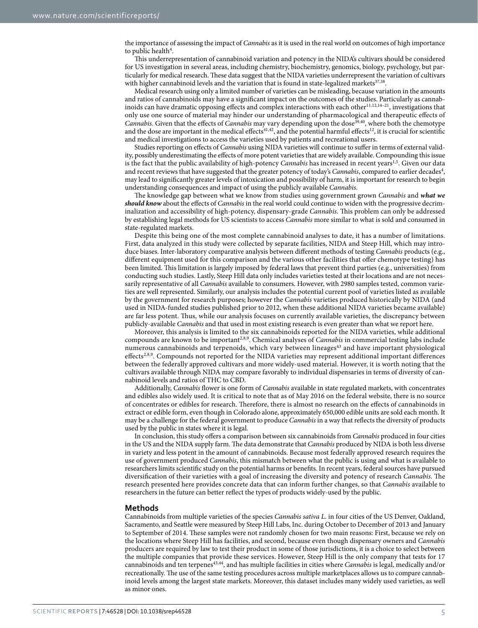the importance of assessing the impact of *Cannabis* as it is used in the real world on outcomes of high importance to public health<sup>4</sup>.

This underrepresentation of cannabinoid variation and potency in the NIDA's cultivars should be considered for US investigation in several areas, including chemistry, biochemistry, genomics, biology, psychology, but particularly for medical research. These data suggest that the NIDA varieties underrepresent the variation of cultivars with higher cannabinoid levels and the variation that is found in state-legalized markets<sup>37,38</sup>.

Medical research using only a limited number of varieties can be misleading, because variation in the amounts and ratios of cannabinoids may have a significant impact on the outcomes of the studies. Particularly as cannabinoids can have dramatic opposing effects and complex interactions with each other<sup>11,12,14-21</sup>, investigations that only use one source of material may hinder our understanding of pharmacological and therapeutic effects of *Cannabis.* Given that the effects of *Cannabis* may vary depending upon the dose<sup>39,40</sup>, where both the chemotype and the dose are important in the medical effects<sup>41,42</sup>, and the potential harmful effects<sup>12</sup>, it is crucial for scientific and medical investigations to access the varieties used by patients and recreational users.

Studies reporting on effects of *Cannabis* using NIDA varieties will continue to suffer in terms of external validity, possibly underestimating the effects of more potent varieties that are widely available. Compounding this issue is the fact that the public availability of high-potency *Cannabis* has increased in recent years<sup>1,5</sup>. Given our data and recent reviews that have suggested that the greater potency of today's *Cannabis*, compared to earlier decades<sup>4</sup>, may lead to significantly greater levels of intoxication and possibility of harm, it is important for research to begin understanding consequences and impact of using the publicly available *Cannabis*.

The knowledge gap between what we know from studies using government grown *Cannabis* and *what we should know* about the effects of *Cannabis* in the real world could continue to widen with the progressive decriminalization and accessibility of high-potency, dispensary-grade *Cannabis*. This problem can only be addressed by establishing legal methods for US scientists to access *Cannabis* more similar to what is sold and consumed in state-regulated markets.

Despite this being one of the most complete cannabinoid analyses to date, it has a number of limitations. First, data analyzed in this study were collected by separate facilities, NIDA and Steep Hill, which may introduce biases. Inter-laboratory comparative analysis between different methods of testing *Cannabis* products (e.g., different equipment used for this comparison and the various other facilities that offer chemotype testing) has been limited. This limitation is largely imposed by federal laws that prevent third parties (e.g., universities) from conducting such studies. Lastly, Steep Hill data only includes varieties tested at their locations and are not necessarily representative of all *Cannabis* available to consumers. However, with 2980 samples tested, common varieties are well represented. Similarly, our analysis includes the potential current pool of varieties listed as available by the government for research purposes; however the *Cannabis* varieties produced historically by NIDA (and used in NIDA-funded studies published prior to 2012, when these additional NIDA varieties became available) are far less potent. Thus, while our analysis focuses on currently available varieties, the discrepancy between publicly-available *Cannabis* and that used in most existing research is even greater than what we report here.

Moreover, this analysis is limited to the six cannabinoids reported for the NIDA varieties, while additional compounds are known to be important2,8,9. Chemical analyses of *Cannabis* in commercial testing labs include numerous cannabinoids and terpenoids, which vary between lineages<sup>43</sup> and have important physiological effects<sup>2,8,9</sup>. Compounds not reported for the NIDA varieties may represent additional important differences between the federally approved cultivars and more widely-used material. However, it is worth noting that the cultivars available through NIDA may compare favorably to individual dispensaries in terms of diversity of cannabinoid levels and ratios of THC to CBD.

Additionally, *Cannabis* flower is one form of *Cannabis* available in state regulated markets, with concentrates and edibles also widely used. It is critical to note that as of May 2016 on the federal website, there is no source of concentrates or edibles for research. Therefore, there is almost no research on the effects of cannabinoids in extract or edible form, even though in Colorado alone, approximately 650,000 edible units are sold each month. It may be a challenge for the federal government to produce *Cannabis* in a way that reflects the diversity of products used by the public in states where it is legal.

In conclusion, this study offers a comparison between six cannabinoids from *Cannabis* produced in four cities in the US and the NIDA supply farm. The data demonstrate that *Cannabis* produced by NIDA is both less diverse in variety and less potent in the amount of cannabinoids. Because most federally approved research requires the use of government produced *Cannabis*, this mismatch between what the public is using and what is available to researchers limits scientific study on the potential harms or benefits. In recent years, federal sources have pursued diversification of their varieties with a goal of increasing the diversity and potency of research *Cannabis*. The research presented here provides concrete data that can inform further changes, so that *Cannabis* available to researchers in the future can better reflect the types of products widely-used by the public.

#### **Methods**

Cannabinoids from multiple varieties of the species *Cannabis sativa L.* in four cities of the US Denver, Oakland, Sacramento, and Seattle were measured by Steep Hill Labs, Inc. during October to December of 2013 and January to September of 2014. These samples were not randomly chosen for two main reasons: First, because we rely on the locations where Steep Hill has facilities, and second, because even though dispensary owners and *Cannabis* producers are required by law to test their product in some of those jurisdictions, it is a choice to select between the multiple companies that provide these services. However, Steep Hill is the only company that tests for 17 cannabinoids and ten terpenes43,44, and has multiple facilities in cities where *Cannabis* is legal, medically and/or recreationally. The use of the same testing procedures across multiple marketplaces allows us to compare cannabinoid levels among the largest state markets. Moreover, this dataset includes many widely used varieties, as well as minor ones.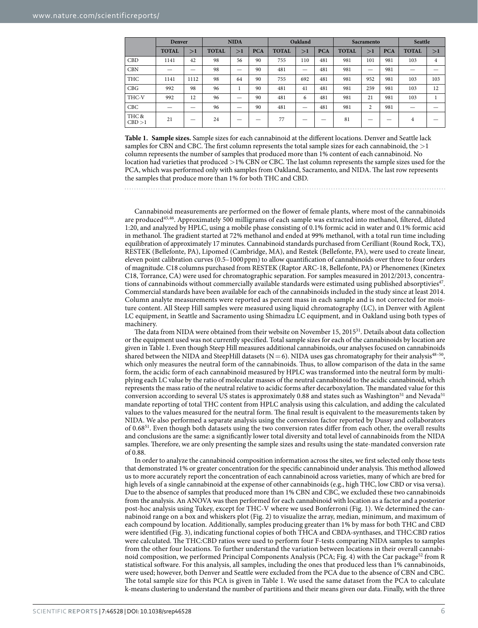|                  | Denver       |      | <b>NIDA</b>  |    |            | Oakland      |     |            | Sacramento   |                |            | <b>Seattle</b> |     |
|------------------|--------------|------|--------------|----|------------|--------------|-----|------------|--------------|----------------|------------|----------------|-----|
|                  | <b>TOTAL</b> | >1   | <b>TOTAL</b> | >1 | <b>PCA</b> | <b>TOTAL</b> | >1  | <b>PCA</b> | <b>TOTAL</b> | >1             | <b>PCA</b> | <b>TOTAL</b>   | >1  |
| CBD              | 1141         | 42   | 98           | 56 | 90         | 755          | 110 | 481        | 981          | 101            | 981        | 103            | 4   |
| <b>CBN</b>       |              |      | 98           | _  | 90         | 481          | –   | 481        | 981          | –              | 981        |                |     |
| <b>THC</b>       | 1141         | 1112 | 98           | 64 | 90         | 755          | 692 | 481        | 981          | 952            | 981        | 103            | 103 |
| CBG              | 992          | 98   | 96           |    | 90         | 481          | 41  | 481        | 981          | 259            | 981        | 103            | 12  |
| THC-V            | 992          | 12   | 96           | —  | 90         | 481          | 6   | 481        | 981          | 21             | 981        | 103            |     |
| CBC              |              |      | 96           | –  | 90         | 481          |     | 481        | 981          | $\overline{c}$ | 981        |                |     |
| THC &<br>CBD > 1 | 21           | _    | 24           | __ |            | 77           |     |            | 81           |                |            | 4              |     |

**Table 1. Sample sizes.** Sample sizes for each cannabinoid at the different locations. Denver and Seattle lack samples for CBN and CBC. The first column represents the total sample sizes for each cannabinoid, the  $>1$ column represents the number of samples that produced more than 1% content of each cannabinoid. No location had varieties that produced >1% CBN or CBC. The last column represents the sample sizes used for the PCA, which was performed only with samples from Oakland, Sacramento, and NIDA. The last row represents the samples that produce more than 1% for both THC and CBD.

Cannabinoid measurements are performed on the flower of female plants, where most of the cannabinoids are produced<sup>45,46</sup>. Approximately 500 milligrams of each sample was extracted into methanol, filtered, diluted 1:20, and analyzed by HPLC, using a mobile phase consisting of 0.1% formic acid in water and 0.1% formic acid in methanol. The gradient started at 72% methanol and ended at 99% methanol, with a total run time including equilibration of approximately 17minutes. Cannabinoid standards purchased from Cerilliant (Round Rock, TX), RESTEK (Bellefonte, PA), Lipomed (Cambridge, MA), and Restek (Bellefonte, PA), were used to create linear, eleven point calibration curves (0.5–1000 ppm) to allow quantification of cannabinoids over three to four orders of magnitude. C18 columns purchased from RESTEK (Raptor ARC-18, Bellefonte, PA) or Phenomenex (Kinetex C18, Torrance, CA) were used for chromatographic separation. For samples measured in 2012/2013, concentrations of cannabinoids without commercially available standards were estimated using published absorptivies<sup>47</sup>. Commercial standards have been available for each of the cannabinoids included in the study since at least 2014. Column analyte measurements were reported as percent mass in each sample and is not corrected for moisture content. All Steep Hill samples were measured using liquid chromatography (LC), in Denver with Agilent LC equipment, in Seattle and Sacramento using Shimadzu LC equipment, and in Oakland using both types of machinery.

The data from NIDA were obtained from their website on November 15, 201531. Details about data collection or the equipment used was not currently specified. Total sample sizes for each of the cannabinoids by location are given in Table 1. Even though Steep Hill measures additional cannabinoids, our analyses focused on cannabinoids shared between the NIDA and SteepHill datasets (N=6). NIDA uses gas chromatography for their analysis<sup>48–50</sup>, which only measures the neutral form of the cannabinoids. Thus, to allow comparison of the data in the same form, the acidic form of each cannabinoid measured by HPLC was transformed into the neutral form by multiplying each LC value by the ratio of molecular masses of the neutral cannabinoid to the acidic cannabinoid, which represents the mass ratio of the neutral relative to acidic forms after decarboxylation. The mandated value for this conversion according to several US states is approximately 0.88 and states such as Washington $^{51}$  and Nevada $^{51}$ mandate reporting of total THC content from HPLC analysis using this calculation, and adding the calculated values to the values measured for the neutral form. The final result is equivalent to the measurements taken by NIDA. We also performed a separate analysis using the conversion factor reported by Dussy and collaborators of 0.6851. Even though both datasets using the two conversion rates differ from each other, the overall results and conclusions are the same: a significantly lower total diversity and total level of cannabinoids from the NIDA samples. Therefore, we are only presenting the sample sizes and results using the state-mandated conversion rate of 0.88.

In order to analyze the cannabinoid composition information across the sites, we first selected only those tests that demonstrated 1% or greater concentration for the specific cannabinoid under analysis. This method allowed us to more accurately report the concentration of each cannabinoid across varieties, many of which are bred for high levels of a single cannabinoid at the expense of other cannabinoids (e.g., high THC, low CBD or visa versa). Due to the absence of samples that produced more than 1% CBN and CBC, we excluded these two cannabinoids from the analysis. An ANOVA was then performed for each cannabinoid with location as a factor and a posterior post-hoc analysis using Tukey, except for THC-V where we used Bonferroni (Fig. 1). We determined the cannabinoid range on a box and whiskers plot (Fig. 2) to visualize the array, median, minimum, and maximum of each compound by location. Additionally, samples producing greater than 1% by mass for both THC and CBD were identified (Fig. 3), indicating functional copies of both THCA and CBDA-synthases, and THC:CBD ratios were calculated. The THC:CBD ratios were used to perform four F-tests comparing NIDA samples to samples from the other four locations. To further understand the variation between locations in their overall cannabinoid composition, we performed Principal Components Analysis (PCA; Fig. 4) with the Car package<sup>52</sup> from R statistical software. For this analysis, all samples, including the ones that produced less than 1% cannabinoids, were used; however, both Denver and Seattle were excluded from the PCA due to the absence of CBN and CBC. The total sample size for this PCA is given in Table 1. We used the same dataset from the PCA to calculate k-means clustering to understand the number of partitions and their means given our data. Finally, with the three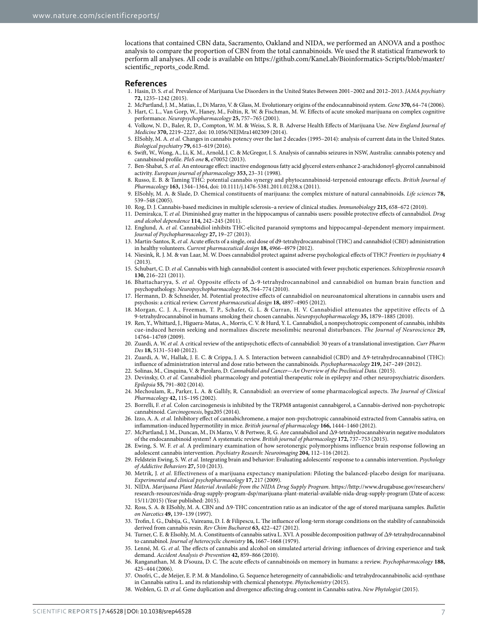locations that contained CBN data, Sacramento, Oakland and NIDA, we performed an ANOVA and a posthoc analysis to compare the proportion of CBN from the total cannabinoids. We used the R statistical framework to perform all analyses. All code is available on [https://github.com/KaneLab/Bioinformatics-Scripts/blob/master/](https://github.com/KaneLab/Bioinformatics-Scripts/blob/master/scientific_reports_code.Rmd) [scientific\\_reports\\_code.Rmd](https://github.com/KaneLab/Bioinformatics-Scripts/blob/master/scientific_reports_code.Rmd).

#### **References**

- 1. Hasin, D. S. *et al.* Prevalence of Marijuana Use Disorders in the United States Between 2001–2002 and 2012–2013. *JAMA psychiatry* **72,** 1235–1242 (2015).
- 2. McPartland, J. M., Matias, I., Di Marzo, V. & Glass, M. Evolutionary origins of the endocannabinoid system. *Gene* **370,** 64–74 (2006).
- 3. Hart, C. L., Van Gorp, W., Haney, M., Foltin, R. W. & Fischman, M. W. Effects of acute smoked marijuana on complex cognitive performance. *Neuropsychopharmacology* **25,** 757–765 (2001).
- 4. Volkow, N. D., Baler, R. D., Compton, W. M. & Weiss, S. R. B. Adverse Health Effects of Marijuana Use. *New England Journal of Medicine* **370,** 2219–2227, doi: 10.1056/NEJMra1402309 (2014).
- 5. ElSohly, M. A. *et al.* Changes in cannabis potency over the last 2 decades (1995–2014): analysis of current data in the United States. *Biological psychiatry* **79,** 613–619 (2016).
- 6. Swift, W., Wong, A., Li, K. M., Arnold, J. C. & McGregor, I. S. Analysis of cannabis seizures in NSW, Australia: cannabis potency and cannabinoid profile. *PloS one* **8,** e70052 (2013).
- 7. Ben-Shabat, S. *et al.* An entourage effect: inactive endogenous fatty acid glycerol esters enhance 2-arachidonoyl-glycerol cannabinoid activity. *European journal of pharmacology* **353,** 23–31 (1998).
- 8. Russo, E. B. & Taming THC: potential cannabis synergy and phytocannabinoid-terpenoid entourage effects. *British Journal of Pharmacology* **163,** 1344–1364, doi: 10.1111/j.1476-5381.2011.01238.x (2011).
- 9. ElSohly, M. A. & Slade, D. Chemical constituents of marijuana: the complex mixture of natural cannabinoids. *Life sciences* **78,** 539–548 (2005).
- 10. Rog, D. J. Cannabis-based medicines in multiple sclerosis–a review of clinical studies. *Immunobiology* **215,** 658–672 (2010). 11. Demirakca, T. *et al.* Diminished gray matter in the hippocampus of cannabis users: possible protective effects of cannabidiol. *Drug* 
	- *and alcohol dependence* **114,** 242–245 (2011).
- 12. Englund, A. *et al.* Cannabidiol inhibits THC-elicited paranoid symptoms and hippocampal-dependent memory impairment. *Journal of Psychopharmacology* **27,** 19–27 (2013).
- 13. Martin-Santos, R. *et al.* Acute effects of a single, oral dose of d9-tetrahydrocannabinol (THC) and cannabidiol (CBD) administration in healthy volunteers. *Current pharmaceutical design* **18,** 4966–4979 (2012).
- 14. Niesink, R. J. M. & van Laar, M. W. Does cannabidiol protect against adverse psychological effects of THC? *Frontiers in psychiatry* **4**  $(2013)$
- 15. Schubart, C. D. *et al.* Cannabis with high cannabidiol content is associated with fewer psychotic experiences. *Schizophrenia research* **130,** 216–221 (2011).
- 16. Bhattacharyya, S. *et al.* Opposite effects of Δ-9-tetrahydrocannabinol and cannabidiol on human brain function and psychopathology. *Neuropsychopharmacology* **35,** 764–774 (2010).
- 17. Hermann, D. & Schneider, M. Potential protective effects of cannabidiol on neuroanatomical alterations in cannabis users and psychosis: a critical review. *Current pharmaceutical design* **18,** 4897–4905 (2012).
- 18. Morgan, C. J. A., Freeman, T. P., Schafer, G. L. & Curran, H. V. Cannabidiol attenuates the appetitive effects of  $\Delta$ 9-tetrahydrocannabinol in humans smoking their chosen cannabis. *Neuropsychopharmacology* **35,** 1879–1885 (2010).
- 19. Ren, Y., Whittard, J., Higuera-Matas, A., Morris, C. V. & Hurd, Y. L. Cannabidiol, a nonpsychotropic component of cannabis, inhibits cue-induced heroin seeking and normalizes discrete mesolimbic neuronal disturbances. *The Journal of Neuroscience* **29,** 14764–14769 (2009).
- 20. Zuardi, A. W. *et al.* A critical review of the antipsychotic effects of cannabidiol: 30 years of a translational investigation. *Curr Pharm Des* **18,** 5131–5140 (2012).
- 21. Zuardi, A. W., Hallak, J. E. C. & Crippa, J. A. S. Interaction between cannabidiol (CBD) and ∆9-tetrahydrocannabinol (THC): influence of administration interval and dose ratio between the cannabinoids. *Psychopharmacology* **219,** 247–249 (2012).
- 22. Solinas, M., Cinquina, V. & Parolaro, D. *Cannabidiol and Cancer—An Overview of the Preclinical Data.* (2015).
- 23. Devinsky, O. *et al.* Cannabidiol: pharmacology and potential therapeutic role in epilepsy and other neuropsychiatric disorders. *Epilepsia* **55,** 791–802 (2014).
- 24. Mechoulam, R., Parker, L. A. & Gallily, R. Cannabidiol: an overview of some pharmacological aspects. *The Journal of Clinical Pharmacology* **42,** 11S–19S (2002).
- 25. Borrelli, F. *et al.* Colon carcinogenesis is inhibited by the TRPM8 antagonist cannabigerol, a Cannabis-derived non-psychotropic cannabinoid. *Carcinogenesis*, bgu205 (2014).
- 26. Izzo, A. A. *et al.* Inhibitory effect of cannabichromene, a major non‐psychotropic cannabinoid extracted from Cannabis sativa, on inflammation‐induced hypermotility in mice. *British journal of pharmacology* **166,** 1444–1460 (2012).
- 27. McPartland, J. M., Duncan, M., Di Marzo, V. & Pertwee, R. G. Are cannabidiol and Δ9‐tetrahydrocannabivarin negative modulators of the endocannabinoid system? A systematic review. *British journal of pharmacology* **172,** 737–753 (2015).
- 28. Ewing, S. W. F. *et al.* A preliminary examination of how serotonergic polymorphisms influence brain response following an adolescent cannabis intervention. *Psychiatry Research: Neuroimaging* **204,** 112–116 (2012).
- 29. Feldstein Ewing, S. W. *et al.* Integrating brain and behavior: Evaluating adolescents' response to a cannabis intervention. *Psychology of Addictive Behaviors* **27,** 510 (2013).
- 30. Metrik, J. *et al.* Effectiveness of a marijuana expectancy manipulation: Piloting the balanced-placebo design for marijuana. *Experimental and clinical psychopharmacology* **17,** 217 (2009).
- 31. NIDA. *Marijuana Plant Material Available from the NIDA Drug Supply Program.* [https://http://www.drugabuse.gov/researchers/](https://http://www.drugabuse.gov/researchers/research-resources/nida-drug-supply-program-dsp/marijuana-plant-material-available-nida-drug-supply-program) [research-resources/nida-drug-supply-program-dsp/marijuana-plant-material-available-nida-drug-supply-program](https://http://www.drugabuse.gov/researchers/research-resources/nida-drug-supply-program-dsp/marijuana-plant-material-available-nida-drug-supply-program) (Date of access: 15/11/2015) (Year published: 2015).
- 32. Ross, S. A. & ElSohly, M. A. CBN and ∆9-THC concentration ratio as an indicator of the age of stored marijuana samples. *Bulletin on Narcotics* **49,** 139–139 (1997).
- 33. Trofin, I. G., Dabija, G., Vaireanu, D. I. & Filipescu, L. The influence of long-term storage conditions on the stability of cannabinoids derived from cannabis resin. *Rev Chim Bucharest* **63,** 422–427 (2012).
- 34. Turner, C. E. & Elsohly, M. A. Constituents of cannabis sativa L. XVI. A possible decomposition pathway of Δ9‐tetrahydrocannabinol to cannabinol. *Journal of heterocyclic chemistry* **16,** 1667–1668 (1979).
- 35. Lenné, M. G. *et al.* The effects of cannabis and alcohol on simulated arterial driving: influences of driving experience and task demand. *Accident Analysis & Prevention* **42,** 859–866 (2010).
- 36. Ranganathan, M. & D'souza, D. C. The acute effects of cannabinoids on memory in humans: a review. *Psychopharmacology* **188,** 425–444 (2006).
- 37. Onofri, C., de Meijer, E. P. M. & Mandolino, G. Sequence heterogeneity of cannabidiolic-and tetrahydrocannabinolic acid-synthase in Cannabis sativa L. and its relationship with chemical phenotype. *Phytochemistry* (2015).
- 38. Weiblen, G. D. *et al.* Gene duplication and divergence affecting drug content in Cannabis sativa. *New Phytologist* (2015).